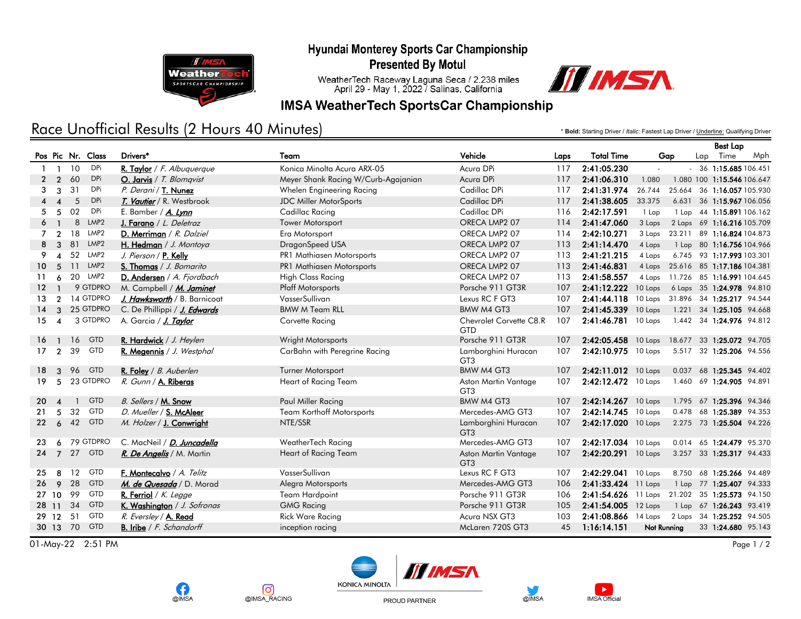Hyundai Monterey Sports Car Championship



**Presented By Motul** 

WeatherTech Raceway Laguna Seca / 2.238 miles<br>April 29 - May 1, 2022 / Salinas, California



### **IMSA WeatherTech SportsCar Championship**

## Race Unofficial Results (2 Hours 40 Minutes)

\* **Bold:** Starting Driver / *Italic:* Fastest Lap Driver / Underline: Qualifying Driver

Best Lap

|                   |                        |          |                  |                                  |                                     |                                         |                   |                       |                                   | <b>Best Lap</b> |      |                                   |  |
|-------------------|------------------------|----------|------------------|----------------------------------|-------------------------------------|-----------------------------------------|-------------------|-----------------------|-----------------------------------|-----------------|------|-----------------------------------|--|
| Pos Pic Nr. Class |                        |          | Drivers*         | Team                             | Vehicle                             | Laps                                    | <b>Total Time</b> | Gap                   |                                   | Lap             | Time | Mph                               |  |
| $\mathbf{1}$      | $\mathbf{1}$           | 10       | DPi              | R. Taylor / F. Albuquerque       | Konica Minolta Acura ARX-05         | Acura DPi                               | 117               | 2:41:05.230           | $\omega$                          |                 |      | $-36$ 1:15.685 106.451            |  |
| $\mathbf{2}$      | $\mathcal{P}$          | 60       | <b>DPi</b>       | O. Jarvis / T. Blomqvist         | Meyer Shank Racing W/Curb-Agajanian | Acura DPi                               | 117               | 2:41:06.310           | 1.080                             |                 |      | 1.080 100 1:15.546 106.647        |  |
| 3                 | 3                      | 31       | DPi              | P. Derani / T. Nunez             | Whelen Engineering Racing           | Cadillac DPi                            | 117               | 2:41:31.974           | 26.744                            |                 |      | 25.664 36 1:16.057 105.930        |  |
| 4                 | $\boldsymbol{\Lambda}$ | 5        | <b>DPi</b>       | T. Vautier / R. Westbrook        | <b>JDC Miller MotorSports</b>       | Cadillac DPi                            | 117               | 2:41:38.605           | 33.375                            |                 |      | 6.631 36 1:15.967 106.056         |  |
| 5.                | -5                     | 02       | DPi              | E. Bamber / A. Lynn              | Cadillac Racing                     | Cadillac DPi                            | 116               | 2:42:17.591           | 1 Lap                             |                 |      | 1 Lap 44 1:15.891 106.162         |  |
| 6                 |                        | 8        | LMP <sub>2</sub> | J. Farano / L. Deletraz          | Tower Motorsport                    | ORECA LMP2 07                           | 114               | 2:41:47.060           | 3 Laps                            |                 |      | 2 Laps 69 1:16.216 105.709        |  |
| 7                 | $\overline{2}$         | 18       | LMP2             | D. Merriman / R. Dalziel         | Era Motorsport                      | ORECA LMP2 07                           | 114               | 2:42:10.271           | 3 Laps                            |                 |      | 23.211 89 1:16.824 104.873        |  |
| 8                 | $\mathbf{3}$           | 81       | LMP <sub>2</sub> | H. Hedman / J. Montoya           | DragonSpeed USA                     | ORECA LMP2 07                           | 113               | 2:41:14.470           | 4 Laps                            |                 |      | 1 Lap 80 1:16.756 104.966         |  |
| 9                 | $\boldsymbol{\Lambda}$ | 52       | LMP2             | J. Pierson / P. Kelly            | PR1 Mathiasen Motorsports           | ORECA LMP2 07                           | 113               | 2:41:21.215           | 4 Laps                            |                 |      | 6.745 93 1:17.993 103.301         |  |
| 10                | -5                     | 11       | LMP <sub>2</sub> | S. Thomas / J. Bomarito          | PR1 Mathiasen Motorsports           | ORECA LMP2 07                           | 113               | 2:41:46.831           |                                   |                 |      | 4 Laps 25.616 85 1:17.186 104.381 |  |
| 11                | 6                      | 20       | LMP2             | D. Andersen / A. Fjordbach       | <b>High Class Racing</b>            | ORECA LMP2 07                           | 113               | 2:41:58.557           |                                   |                 |      | 4 Laps 11.726 85 1:16.991 104.645 |  |
| 12 <sup>7</sup>   |                        |          | 9 GTDPRO         | M. Campbell / M. Jaminet         | <b>Pfaff Motorsports</b>            | Porsche 911 GT3R                        | 107               | 2:41:12.222           | 10 Laps 6 Laps 35 1:24.978 94.810 |                 |      |                                   |  |
| 13                | $\mathcal{P}$          |          | 14 GTDPRO        | J. Hawksworth / B. Barnicoat     | VasserSullivan                      | Lexus RC F GT3                          | 107               | 2:41:44.118           | 10 Laps 31.896 34 1:25.217 94.544 |                 |      |                                   |  |
| 14                | 3                      |          | 25 GTDPRO        | C. De Phillippi / J. Edwards     | <b>BMW M Team RLL</b>               | BMW M4 GT3                              | 107               | 2:41:45.339           | 10 Laps                           |                 |      | 1.221 34 1:25.105 94.668          |  |
| 15 <sub>1</sub>   | $\overline{4}$         |          | 3 GTDPRO         | A. Garcia / J. Taylor            | Corvette Racing                     | Chevrolet Corvette C8.R<br><b>GTD</b>   | 107               | 2:41:46.781           | 10 Laps                           |                 |      | 1.442 34 1:24.976 94.812          |  |
| 16                | -1                     | 16       | <b>GTD</b>       | R. Hardwick / J. Heylen          | Wright Motorsports                  | Porsche 911 GT3R                        | 107               | 2:42:05.458           | 10 Laps 18.677 33 1:25.072 94.705 |                 |      |                                   |  |
| 17                | $\overline{2}$         | 39       | <b>GTD</b>       | R. Megennis / J. Westphal        | CarBahn with Peregrine Racing       | Lamborghini Huracan<br>GT <sub>3</sub>  | 107               | $2:42:10.975$ 10 Laps |                                   |                 |      | 5.517 32 1:25.206 94.556          |  |
| 18                | 3                      | 96       | <b>GTD</b>       | R. Foley / B. Auberlen           | <b>Turner Motorsport</b>            | BMW M4 GT3                              | 107               | $2:42:11.012$ 10 Laps |                                   |                 |      | 0.037 68 1:25.345 94.402          |  |
| 19                | 5                      |          | 23 GTDPRO        | R. Gunn / A. Riberas             | Heart of Racing Team                | Aston Martin Vantage<br>GT <sub>3</sub> | 107               | 2:42:12.472 10 Laps   |                                   |                 |      | 1.460 69 1:24.905 94.891          |  |
| 20 <sup>2</sup>   | $\boldsymbol{\Lambda}$ | -1       | <b>GTD</b>       | B. Sellers / M. Snow             | Paul Miller Racing                  | BMW M4 GT3                              | 107               | 2:42:14.267           | 10 Laps                           |                 |      | 1.795 67 1:25.396 94.346          |  |
| 21                | 5                      | 32       | <b>GTD</b>       | D. Mueller / S. McAleer          | <b>Team Korthoff Motorsports</b>    | Mercedes-AMG GT3                        | 107               | 2:42:14.745           | 10 Laps                           |                 |      | 0.478 68 1:25.389 94.353          |  |
| 22                | 6                      | 42       | <b>GTD</b>       | M. Holzer / J. Conwright         | NTE/SSR                             | Lamborghini Huracan<br>GT <sub>3</sub>  | 107               | 2:42:17.020           | 10 Laps                           |                 |      | 2.275 73 1:25.504 94.226          |  |
| 23                | 6                      |          | 79 GTDPRO        | C. MacNeil / D. Juncadella       | WeatherTech Racing                  | Mercedes-AMG GT3                        | 107               | 2:42:17.034           | 10 Laps                           |                 |      | 0.014 65 1:24.479 95.370          |  |
| 24 7              |                        | 27       | <b>GTD</b>       | R. De Angelis / M. Martin        | Heart of Racing Team                | Aston Martin Vantage<br>GT <sub>3</sub> | 107               | 2:42:20.291 10 Laps   |                                   |                 |      | 3.257 33 1:25.317 94.433          |  |
| 25                | 8                      | 12       | <b>GTD</b>       | F. Montecalvo / A. Telitz        | VasserSullivan                      | Lexus RC F GT3                          | 107               | 2:42:29.041           | 10 Laps                           |                 |      | 8.750 68 1:25.266 94.489          |  |
| 26                | $\mathbf{Q}$           | 28       | <b>GTD</b>       | M. de Quesada / D. Morad         | Alegra Motorsports                  | Mercedes-AMG GT3                        | 106               | 2:41:33.424           | 11 Laps                           |                 |      | 1 Lap 77 1:25.407 94.333          |  |
| 27 10             |                        | 99       | <b>GTD</b>       | R. Ferriol / $K.$ Legge          | <b>Team Hardpoint</b>               | Porsche 911 GT3R                        | 106               | 2:41:54.626           | 11 Laps 21.202 35 1:25.573 94.150 |                 |      |                                   |  |
| 28 11             |                        | 34       | <b>GTD</b>       | K. Washington / J. Sofronas      | <b>GMG Racing</b>                   | Porsche 911 GT3R                        | 105               | 2:41:54.005           | 12 Laps                           |                 |      | 1 Lap 67 1:26.243 93.419          |  |
| 29 12             |                        | 51       | GTD              | R. Eversley / A. Read            | <b>Rick Ware Racing</b>             | Acura NSX GT3                           | 103               | 2:41:08.866           | 14 Laps                           |                 |      | 2 Laps 34 1:25.252 94.505         |  |
|                   |                        | 30 13 70 | <b>GTD</b>       | <b>B.</b> Iribe $/F.$ Schandorff | inception racing                    | McLaren 720S GT3                        | 45                | 1:16:14.151           | Not Running                       |                 |      | 33 1:24.680 95.143                |  |

 $\overline{01-May-22}$  2:51 PM Page 1/2











PROUD PARTNER